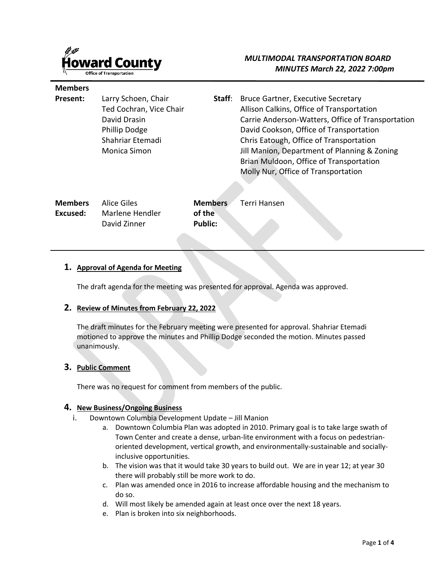

**Members** 

# *MULTIMODAL TRANSPORTATION BOARD MINUTES March 22, 2022 7:00pm*

| Present:                   | Larry Schoen, Chair<br>Ted Cochran, Vice Chair<br>David Drasin<br><b>Phillip Dodge</b><br>Shahriar Etemadi<br><b>Monica Simon</b> | Staff:                                     | <b>Bruce Gartner, Executive Secretary</b><br>Allison Calkins, Office of Transportation<br>Carrie Anderson-Watters, Office of Transportation<br>David Cookson, Office of Transportation<br>Chris Eatough, Office of Transportation<br>Jill Manion, Department of Planning & Zoning<br>Brian Muldoon, Office of Transportation<br>Molly Nur, Office of Transportation |
|----------------------------|-----------------------------------------------------------------------------------------------------------------------------------|--------------------------------------------|---------------------------------------------------------------------------------------------------------------------------------------------------------------------------------------------------------------------------------------------------------------------------------------------------------------------------------------------------------------------|
| <b>Members</b><br>Excused: | Alice Giles<br>Marlene Hendler<br>David Zinner                                                                                    | <b>Members</b><br>of the<br><b>Public:</b> | <b>Terri Hansen</b>                                                                                                                                                                                                                                                                                                                                                 |

#### **1. Approval of Agenda for Meeting**

The draft agenda for the meeting was presented for approval. Agenda was approved.

#### **2. Review of Minutes from February 22, 2022**

The draft minutes for the February meeting were presented for approval. Shahriar Etemadi motioned to approve the minutes and Phillip Dodge seconded the motion. Minutes passed unanimously.

#### **3. Public Comment**

There was no request for comment from members of the public.

#### **4. New Business/Ongoing Business**

- i. Downtown Columbia Development Update Jill Manion
	- a. Downtown Columbia Plan was adopted in 2010. Primary goal is to take large swath of Town Center and create a dense, urban-lite environment with a focus on pedestrianoriented development, vertical growth, and environmentally-sustainable and sociallyinclusive opportunities.
	- b. The vision was that it would take 30 years to build out. We are in year 12; at year 30 there will probably still be more work to do.
	- c. Plan was amended once in 2016 to increase affordable housing and the mechanism to do so.
	- d. Will most likely be amended again at least once over the next 18 years.
	- e. Plan is broken into six neighborhoods.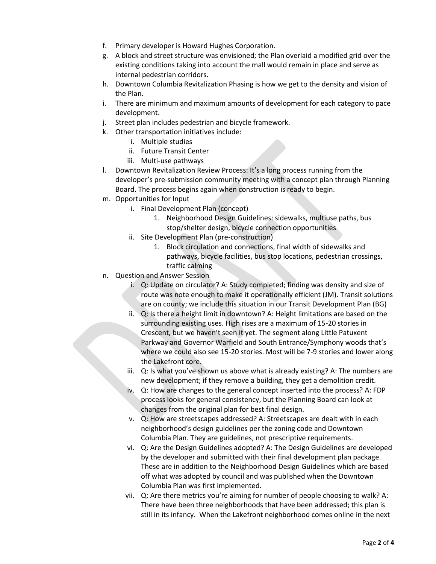- f. Primary developer is Howard Hughes Corporation.
- g. A block and street structure was envisioned; the Plan overlaid a modified grid over the existing conditions taking into account the mall would remain in place and serve as internal pedestrian corridors.
- h. Downtown Columbia Revitalization Phasing is how we get to the density and vision of the Plan.
- i. There are minimum and maximum amounts of development for each category to pace development.
- j. Street plan includes pedestrian and bicycle framework.
- k. Other transportation initiatives include:
	- i. Multiple studies
	- ii. Future Transit Center
	- iii. Multi-use pathways
- l. Downtown Revitalization Review Process: It's a long process running from the developer's pre-submission community meeting with a concept plan through Planning Board. The process begins again when construction is ready to begin.
- m. Opportunities for Input
	- i. Final Development Plan (concept)
		- 1. Neighborhood Design Guidelines: sidewalks, multiuse paths, bus stop/shelter design, bicycle connection opportunities
	- ii. Site Development Plan (pre-construction)
		- 1. Block circulation and connections, final width of sidewalks and pathways, bicycle facilities, bus stop locations, pedestrian crossings, traffic calming
- n. Question and Answer Session
	- i. Q: Update on circulator? A: Study completed; finding was density and size of route was note enough to make it operationally efficient (JM). Transit solutions are on county; we include this situation in our Transit Development Plan (BG)
	- ii. Q: Is there a height limit in downtown? A: Height limitations are based on the surrounding existing uses. High rises are a maximum of 15-20 stories in Crescent, but we haven't seen it yet. The segment along Little Patuxent Parkway and Governor Warfield and South Entrance/Symphony woods that's where we could also see 15-20 stories. Most will be 7-9 stories and lower along the Lakefront core.
	- iii. Q: Is what you've shown us above what is already existing? A: The numbers are new development; if they remove a building, they get a demolition credit.
	- iv. Q: How are changes to the general concept inserted into the process? A: FDP process looks for general consistency, but the Planning Board can look at changes from the original plan for best final design.
	- v. Q: How are streetscapes addressed? A: Streetscapes are dealt with in each neighborhood's design guidelines per the zoning code and Downtown Columbia Plan. They are guidelines, not prescriptive requirements.
	- vi. Q: Are the Design Guidelines adopted? A: The Design Guidelines are developed by the developer and submitted with their final development plan package. These are in addition to the Neighborhood Design Guidelines which are based off what was adopted by council and was published when the Downtown Columbia Plan was first implemented.
	- vii. Q: Are there metrics you're aiming for number of people choosing to walk? A: There have been three neighborhoods that have been addressed; this plan is still in its infancy. When the Lakefront neighborhood comes online in the next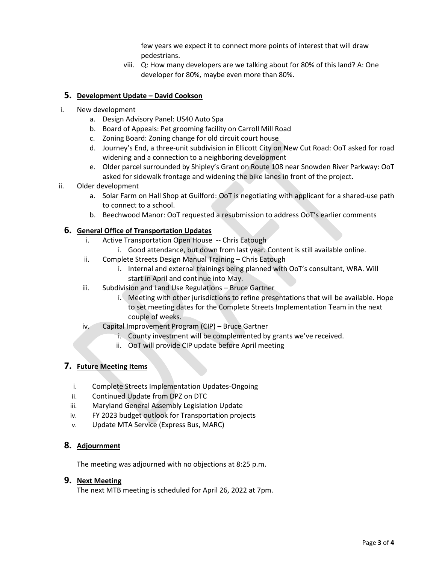few years we expect it to connect more points of interest that will draw pedestrians.

viii. Q: How many developers are we talking about for 80% of this land? A: One developer for 80%, maybe even more than 80%.

## **5. Development Update – David Cookson**

- i. New development
	- a. Design Advisory Panel: US40 Auto Spa
	- b. Board of Appeals: Pet grooming facility on Carroll Mill Road
	- c. Zoning Board: Zoning change for old circuit court house
	- d. Journey's End, a three-unit subdivision in Ellicott City on New Cut Road: OoT asked for road widening and a connection to a neighboring development
	- e. Older parcel surrounded by Shipley's Grant on Route 108 near Snowden River Parkway: OoT asked for sidewalk frontage and widening the bike lanes in front of the project.
- ii. Older development
	- a. Solar Farm on Hall Shop at Guilford: OoT is negotiating with applicant for a shared-use path to connect to a school.
	- b. Beechwood Manor: OoT requested a resubmission to address OoT's earlier comments

## **6. General Office of Transportation Updates**

- i. Active Transportation Open House -- Chris Eatough
	- i. Good attendance, but down from last year. Content is still available online.
- ii. Complete Streets Design Manual Training Chris Eatough
	- i. Internal and external trainings being planned with OoT's consultant, WRA. Will start in April and continue into May.
- iii. Subdivision and Land Use Regulations Bruce Gartner
	- i. Meeting with other jurisdictions to refine presentations that will be available. Hope to set meeting dates for the Complete Streets Implementation Team in the next couple of weeks.
- iv. Capital Improvement Program (CIP) Bruce Gartner
	- i. County investment will be complemented by grants we've received.
	- ii. OoT will provide CIP update before April meeting

## **7. Future Meeting Items**

- i. Complete Streets Implementation Updates-Ongoing
- ii. Continued Update from DPZ on DTC
- iii. Maryland General Assembly Legislation Update
- iv. FY 2023 budget outlook for Transportation projects
- v. Update MTA Service (Express Bus, MARC)

## **8. Adjournment**

The meeting was adjourned with no objections at 8:25 p.m.

#### **9. Next Meeting**

The next MTB meeting is scheduled for April 26, 2022 at 7pm.